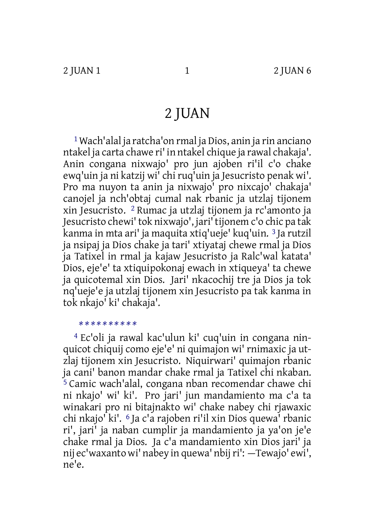# 2 JUAN

1Wach'alal ja ratcha'on rmal ja Dios, anin ja rin anciano ntakel ja carta chawe ri' in ntakel chique ja rawal chakaja'. Anin congana nixwajo' pro jun ajoben ri'il c'o chake ewq'uin ja ni katzij wi' chiruq'uin ja Jesucristo penak wi'. Pro ma nuyon ta anin ja nixwajo' pro nixcajo' chakaja' canojel ja nch'obtaj cumal nak rbanic ja utzlaj tijonem xin Jesucristo. 2 Rumac ja utzlaj tijonem ja rc'amonto ja Jesucristo chewi'tok nixwajo', jari'tijonem c'o chic pa tak kanma in mta ari' ja maquita xtiq'ueje' kuq'uin. 3 Ja rutzil ja nsipaj ja Dios chake ja tari' xtiyataj chewe rmal ja Dios ja Tatixel in rmal ja kajaw Jesucristo ja Ralc'wal katata' Dios, eje'e' ta xtiquipokonaj ewach in xtiqueya' ta chewe ja quicotemal xin Dios. Jari' nkacochij tre ja Dios ja tok nq'ueje'e ja utzlaj tijonem xin Jesucristo pa tak kanma in tok nkajo' ki' chakaja'.

#### *\* \* \* \* \* \* \* \* \* \**

4 Ec'oli ja rawal kac'ulun ki' cuq'uin in congana ninquicot chiquij como eje'e' ni quimajon wi' rnimaxic ja utzlaj tijonem xin Jesucristo. Niquirwari' quimajon rbanic ja cani' banon mandar chake rmal ja Tatixel chi nkaban. 5 Camic wach'alal, congana nban recomendar chawe chi ni nkajo' wi' ki'. Pro jari' jun mandamiento ma c'a ta winakari pro ni bitajnakto wi' chake nabey chi rjawaxic chi nkajo' ki'. 6 Ja c'a rajoben ri'il xin Dios quewa' rbanic ri', jari' ja naban cumplir ja mandamiento ja ya'on je'e chake rmal ja Dios. Ja c'a mandamiento xin Dios jari' ja nij ec'waxanto wi' nabey in quewa' nbijri': —Tewajo' ewi', ne'e.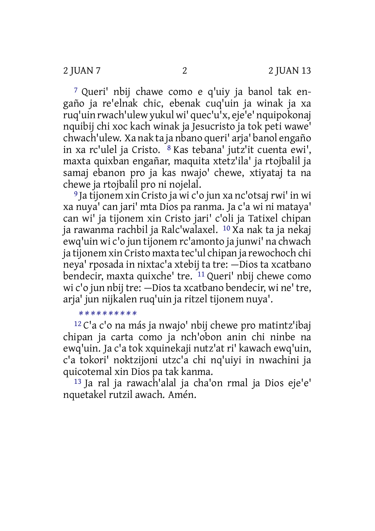7 Queri' nbij chawe como e q'uiy ja banol tak engaño ja re'elnak chic, ebenak cuq'uin ja winak ja xa ruq'uin rwach'ulew yukul wi' quec'u'x, eje'e' nquipokonaj nquibij chi xoc kach winak ja Jesucristo ja tok peti wawe' chwach'ulew. Xa nak ta ja nbano queri' arja' banol engaño in xa rc'ulel ja Cristo. 8 Kas tebana' jutz'it cuenta ewi', maxta quixban engañar, maquita xtetz'ila' ja rtojbalil ja samaj ebanon pro ja kas nwajo' chewe, xtiyataj ta na chewe ja rtojbalil pro ni nojelal.

<sup>9</sup> Ja tijonem xin Cristo ja wi c'o jun xa nc'otsai rwi' in wi xa nuya' can jari' mta Dios pa ranma. Ja c'a wi ni mataya' can wi' ja tijonem xin Cristo jari' c'oli ja Tatixel chipan ja rawanma rachbil ja Ralc'walaxel. 10 Xa nak ta ja nekaj ewq'uin wi c'o jun tijonem rc'amonto ja junwi' na chwach ja tijonem xin Cristo maxta tec'ul chipan ja rewochoch chi neya' rposada in nixtac'a xtebij ta tre: —Dios ta xcatbano bendecir, maxta quixche' tre. 11 Queri' nbij chewe como wi c'o jun nbij tre: —Dios ta xcatbano bendecir, wi ne' tre, arja' jun nijkalen ruq'uin ja ritzel tijonem nuya'.

#### *\* \* \* \* \* \* \* \* \* \**

12 C'a c'o na más ja nwajo' nbij chewe pro matintz'ibaj chipan ja carta como ja nch'obon anin chi ninbe na ewq'uin. Ja c'a tok xquinekaji nutz'at ri' kawach ewq'uin, c'a tokori' noktzijoni utzc'a chi nq'uiyi in nwachini ja quicotemal xin Dios pa tak kanma.

13 Ja ral ja rawach'alal ja cha'on rmal ja Dios eje'e' nquetakel rutzil awach. Amén.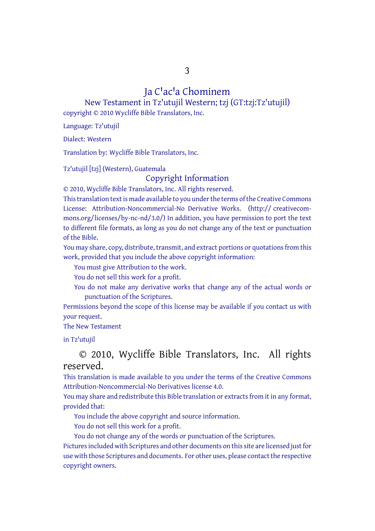3

# Ja C'ac'a Chominem

New Testament in Tz'utujil Western; tzj (GT:tzj:Tz'utujil) copyright © 2010 Wycliffe Bible Translators, Inc.

Language: Tz'utujil

Dialect: Western

Translation by: Wycliffe Bible Translators, Inc.

Tz'utujil [tzj] (Western), Guatemala

## Copyright Information

© 2010, Wycliffe Bible Translators, Inc. All rights reserved.

This translation text is made available to you under the terms of the Creative [Commons](http://creativecommons.org/licenses/by-nc-nd/4.0/) License: [Attribution-Noncommercial-No](http://creativecommons.org/licenses/by-nc-nd/4.0/) Derivative Works. (http:// creativecommons.org/licenses/by-nc-nd/3.0/) In addition, you have permission to port the text to different file formats, as long as you do not change any of the text or punctuation of the Bible.

You may share, copy, distribute, transmit, and extract portions or quotations from this work, provided that you include the above copyright information:

You must give Attribution to the work.

You do not sell this work for a profit.

You do not make any derivative works that change any of the actual words or punctuation of the Scriptures.

Permissions beyond the scope of this license may be available if you contact us with your request.

The New Testament

in Tz'utujil

### © 2010, Wycliffe Bible Translators, Inc. All rights reserved.

This translation is made available to you under the terms of the Creative Commons Attribution-Noncommercial-No Derivatives license 4.0.

You may share and redistribute this Bible translation or extracts from it in any format, provided that:

You include the above copyright and source information.

You do not sell this work for a profit.

You do not change any of the words or punctuation of the Scriptures.

Pictures included with Scriptures and other documents on this site are licensed just for use with those Scriptures and documents. For other uses, please contact the respective copyright owners.